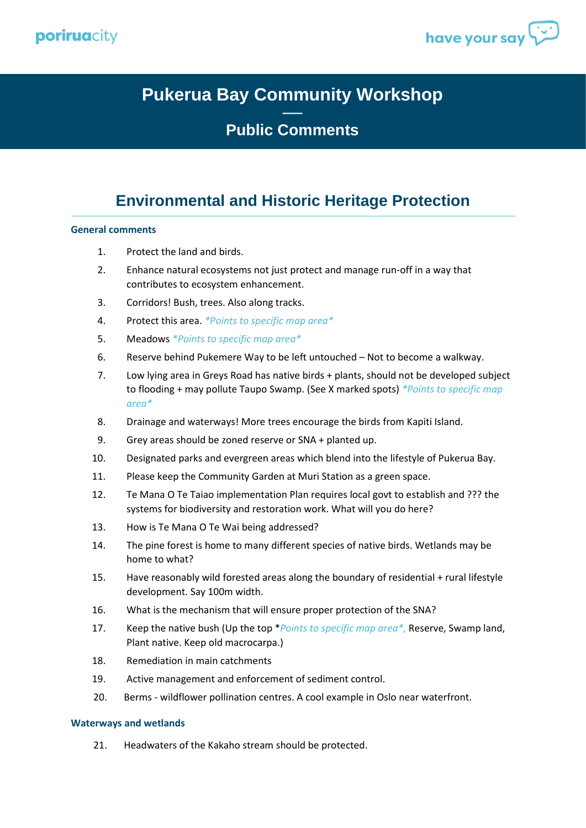



# **Pukerua Bay Community Workshop**

## **── Public Comments**

## **Environmental and Historic Heritage Protection**

#### **General comments**

- 1. Protect the land and birds.
- 2. Enhance natural ecosystems not just protect and manage run-off in a way that contributes to ecosystem enhancement.
- 3. Corridors! Bush, trees. Also along tracks.
- 4. Protect this area. *\*Points to specific map area\**
- 5. Meadows *\*Points to specific map area\**
- 6. Reserve behind Pukemere Way to be left untouched Not to become a walkway.
- 7. Low lying area in Greys Road has native birds + plants, should not be developed subject to flooding + may pollute Taupo Swamp. (See X marked spots) *\*Points to specific map area\**
- 8. Drainage and waterways! More trees encourage the birds from Kapiti Island.
- 9. Grey areas should be zoned reserve or SNA + planted up.
- 10. Designated parks and evergreen areas which blend into the lifestyle of Pukerua Bay.
- 11. Please keep the Community Garden at Muri Station as a green space.
- 12. Te Mana O Te Taiao implementation Plan requires local govt to establish and ??? the systems for biodiversity and restoration work. What will you do here?
- 13. How is Te Mana O Te Wai being addressed?
- 14. The pine forest is home to many different species of native birds. Wetlands may be home to what?
- 15. Have reasonably wild forested areas along the boundary of residential + rural lifestyle development. Say 100m width.
- 16. What is the mechanism that will ensure proper protection of the SNA?
- 17. Keep the native bush (Up the top \**Points to specific map area\*,* Reserve, Swamp land, Plant native. Keep old macrocarpa.)
- 18. Remediation in main catchments
- 19. Active management and enforcement of sediment control.
- 20. Berms wildflower pollination centres. A cool example in Oslo near waterfront.

#### **Waterways and wetlands**

21. Headwaters of the Kakaho stream should be protected.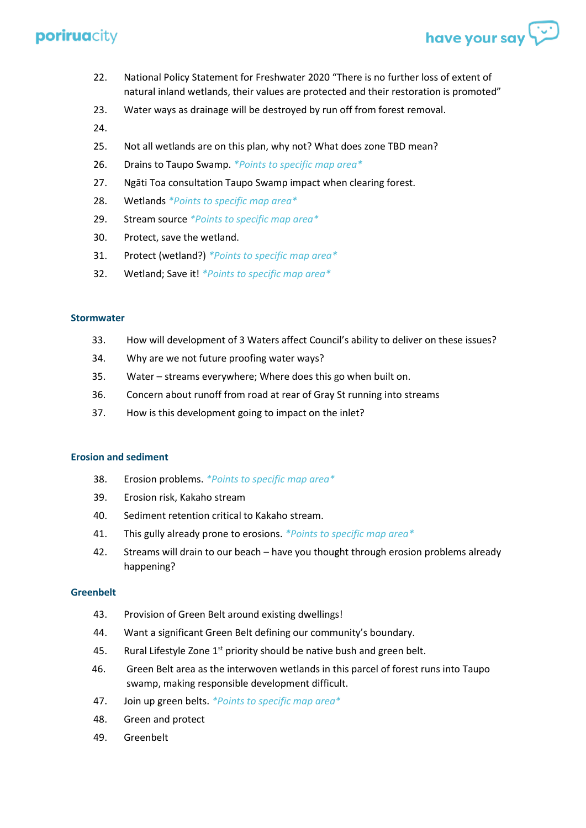

- 22. National Policy Statement for Freshwater 2020 "There is no further loss of extent of natural inland wetlands, their values are protected and their restoration is promoted"
- 23. Water ways as drainage will be destroyed by run off from forest removal.
- 24.
- 25. Not all wetlands are on this plan, why not? What does zone TBD mean?
- 26. Drains to Taupo Swamp. *\*Points to specific map area\**
- 27. Ngāti Toa consultation Taupo Swamp impact when clearing forest.
- 28. Wetlands *\*Points to specific map area\**
- 29. Stream source *\*Points to specific map area\**
- 30. Protect, save the wetland.
- 31. Protect (wetland?) *\*Points to specific map area\**
- 32. Wetland; Save it! *\*Points to specific map area\**

#### **Stormwater**

- 33. How will development of 3 Waters affect Council's ability to deliver on these issues?
- 34. Why are we not future proofing water ways?
- 35. Water streams everywhere; Where does this go when built on.
- 36. Concern about runoff from road at rear of Gray St running into streams
- 37. How is this development going to impact on the inlet?

#### **Erosion and sediment**

- 38. Erosion problems. *\*Points to specific map area\**
- 39. Erosion risk, Kakaho stream
- 40. Sediment retention critical to Kakaho stream.
- 41. This gully already prone to erosions. *\*Points to specific map area\**
- 42. Streams will drain to our beach have you thought through erosion problems already happening?

### **Greenbelt**

- 43. Provision of Green Belt around existing dwellings!
- 44. Want a significant Green Belt defining our community's boundary.
- 45. Rural Lifestyle Zone  $1<sup>st</sup>$  priority should be native bush and green belt.
- 46. Green Belt area as the interwoven wetlands in this parcel of forest runs into Taupo swamp, making responsible development difficult.
- 47. Join up green belts. *\*Points to specific map area\**
- 48. Green and protect
- 49. Greenbelt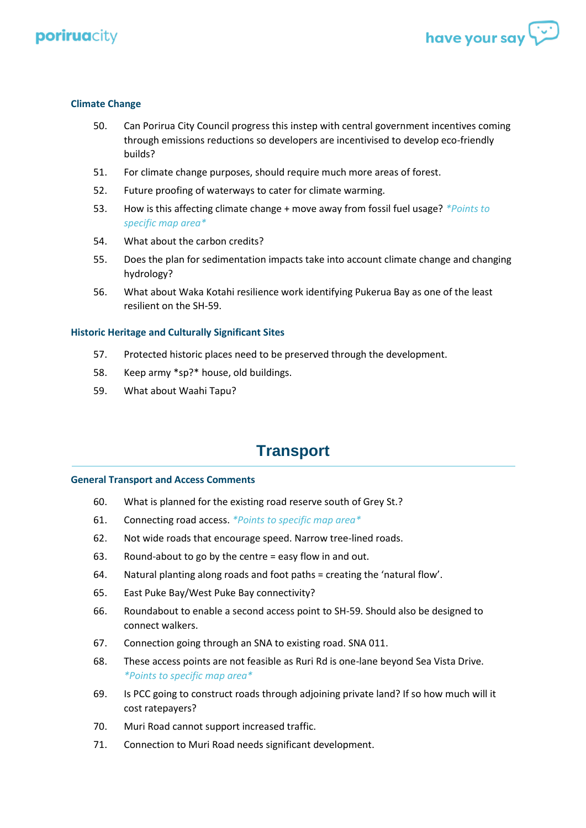



### **Climate Change**

- 50. Can Porirua City Council progress this instep with central government incentives coming through emissions reductions so developers are incentivised to develop eco-friendly builds?
- 51. For climate change purposes, should require much more areas of forest.
- 52. Future proofing of waterways to cater for climate warming.
- 53. How is this affecting climate change + move away from fossil fuel usage? *\*Points to specific map area\**
- 54. What about the carbon credits?
- 55. Does the plan for sedimentation impacts take into account climate change and changing hydrology?
- 56. What about Waka Kotahi resilience work identifying Pukerua Bay as one of the least resilient on the SH-59.

#### **Historic Heritage and Culturally Significant Sites**

- 57. Protected historic places need to be preserved through the development.
- 58. Keep army \*sp?\* house, old buildings.
- 59. What about Waahi Tapu?

## **Transport**

#### **General Transport and Access Comments**

- 60. What is planned for the existing road reserve south of Grey St.?
- 61. Connecting road access. *\*Points to specific map area\**
- 62. Not wide roads that encourage speed. Narrow tree-lined roads.
- 63. Round-about to go by the centre = easy flow in and out.
- 64. Natural planting along roads and foot paths = creating the 'natural flow'.
- 65. East Puke Bay/West Puke Bay connectivity?
- 66. Roundabout to enable a second access point to SH-59. Should also be designed to connect walkers.
- 67. Connection going through an SNA to existing road. SNA 011.
- 68. These access points are not feasible as Ruri Rd is one-lane beyond Sea Vista Drive. *\*Points to specific map area\**
- 69. Is PCC going to construct roads through adjoining private land? If so how much will it cost ratepayers?
- 70. Muri Road cannot support increased traffic.
- 71. Connection to Muri Road needs significant development.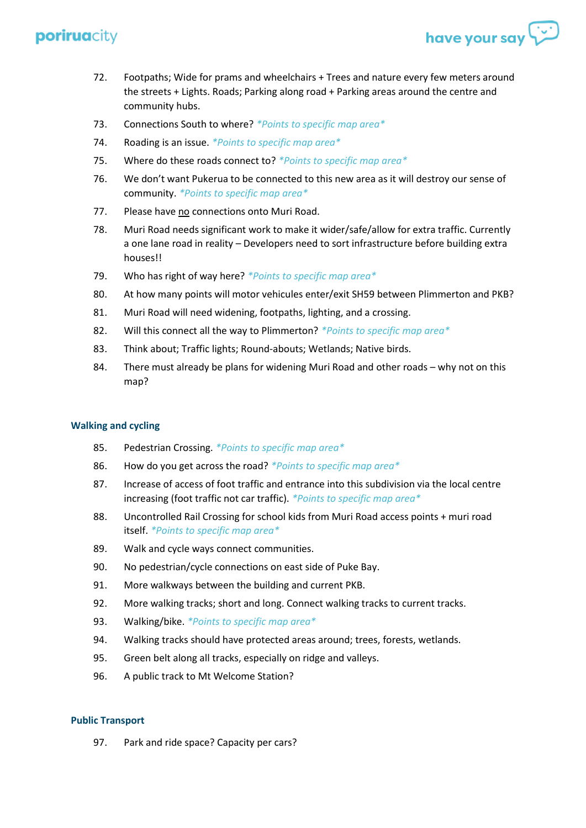72. Footpaths; Wide for prams and wheelchairs + Trees and nature every few meters around the streets + Lights. Roads; Parking along road + Parking areas around the centre and community hubs.

have your say

- 73. Connections South to where? *\*Points to specific map area\**
- 74. Roading is an issue. *\*Points to specific map area\**
- 75. Where do these roads connect to? *\*Points to specific map area\**
- 76. We don't want Pukerua to be connected to this new area as it will destroy our sense of community. *\*Points to specific map area\**
- 77. Please have no connections onto Muri Road.
- 78. Muri Road needs significant work to make it wider/safe/allow for extra traffic. Currently a one lane road in reality – Developers need to sort infrastructure before building extra houses!!
- 79. Who has right of way here? *\*Points to specific map area\**
- 80. At how many points will motor vehicules enter/exit SH59 between Plimmerton and PKB?
- 81. Muri Road will need widening, footpaths, lighting, and a crossing.
- 82. Will this connect all the way to Plimmerton? *\*Points to specific map area\**
- 83. Think about; Traffic lights; Round-abouts; Wetlands; Native birds.
- 84. There must already be plans for widening Muri Road and other roads why not on this map?

### **Walking and cycling**

- 85. Pedestrian Crossing. *\*Points to specific map area\**
- 86. How do you get across the road? *\*Points to specific map area\**
- 87. Increase of access of foot traffic and entrance into this subdivision via the local centre increasing (foot traffic not car traffic). *\*Points to specific map area\**
- 88. Uncontrolled Rail Crossing for school kids from Muri Road access points + muri road itself. *\*Points to specific map area\**
- 89. Walk and cycle ways connect communities.
- 90. No pedestrian/cycle connections on east side of Puke Bay.
- 91. More walkways between the building and current PKB.
- 92. More walking tracks; short and long. Connect walking tracks to current tracks.
- 93. Walking/bike. *\*Points to specific map area\**
- 94. Walking tracks should have protected areas around; trees, forests, wetlands.
- 95. Green belt along all tracks, especially on ridge and valleys.
- 96. A public track to Mt Welcome Station?

### **Public Transport**

97. Park and ride space? Capacity per cars?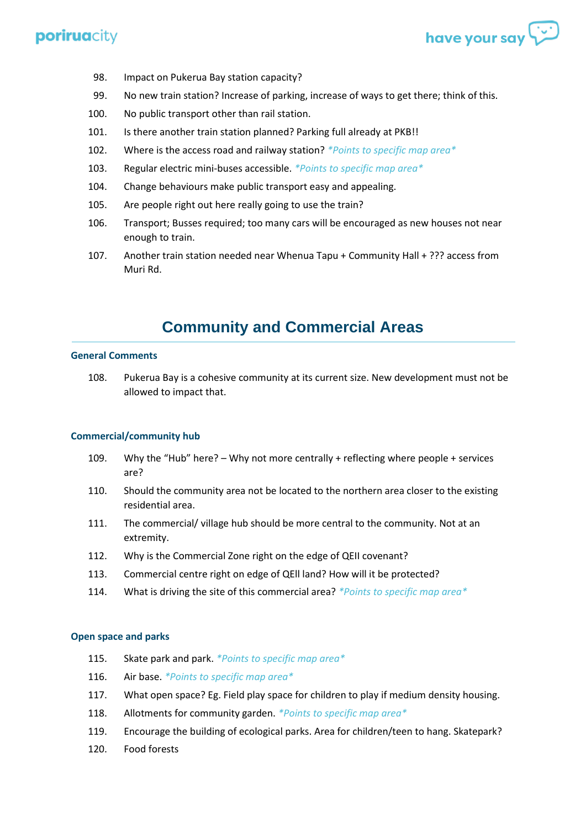

- 98. Impact on Pukerua Bay station capacity?
- 99. No new train station? Increase of parking, increase of ways to get there; think of this.
- 100. No public transport other than rail station.
- 101. Is there another train station planned? Parking full already at PKB!!
- 102. Where is the access road and railway station? *\*Points to specific map area\**
- 103. Regular electric mini-buses accessible. *\*Points to specific map area\**
- 104. Change behaviours make public transport easy and appealing.
- 105. Are people right out here really going to use the train?
- 106. Transport; Busses required; too many cars will be encouraged as new houses not near enough to train.
- 107. Another train station needed near Whenua Tapu + Community Hall + ??? access from Muri Rd.

# **Community and Commercial Areas**

### **General Comments**

108. Pukerua Bay is a cohesive community at its current size. New development must not be allowed to impact that.

### **Commercial/community hub**

- 109. Why the "Hub" here? Why not more centrally + reflecting where people + services are?
- 110. Should the community area not be located to the northern area closer to the existing residential area.
- 111. The commercial/ village hub should be more central to the community. Not at an extremity.
- 112. Why is the Commercial Zone right on the edge of QEII covenant?
- 113. Commercial centre right on edge of QEll land? How will it be protected?
- 114. What is driving the site of this commercial area? *\*Points to specific map area\**

### **Open space and parks**

- 115. Skate park and park. *\*Points to specific map area\**
- 116. Air base. *\*Points to specific map area\**
- 117. What open space? Eg. Field play space for children to play if medium density housing.
- 118. Allotments for community garden. *\*Points to specific map area\**
- 119. Encourage the building of ecological parks. Area for children/teen to hang. Skatepark?
- 120. Food forests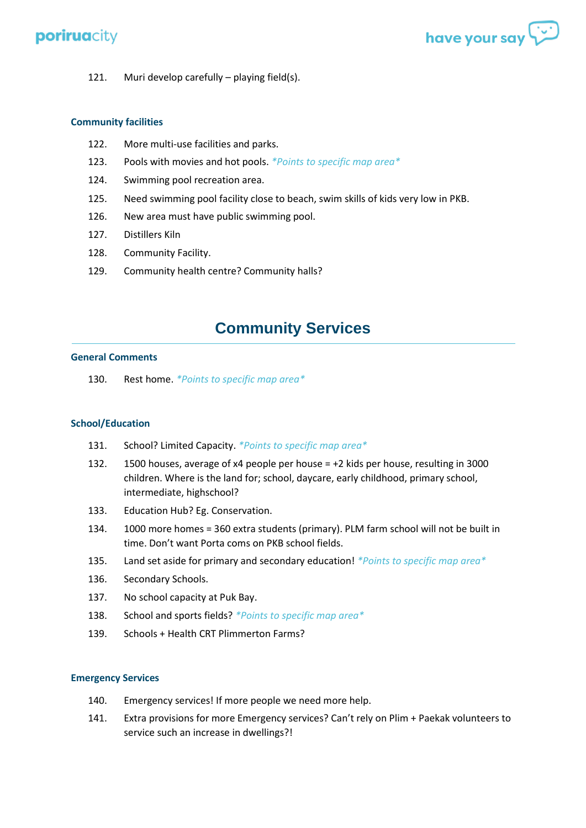

121. Muri develop carefully – playing field(s).

## **Community facilities**

- 122. More multi-use facilities and parks.
- 123. Pools with movies and hot pools. *\*Points to specific map area\**
- 124. Swimming pool recreation area.
- 125. Need swimming pool facility close to beach, swim skills of kids very low in PKB.
- 126. New area must have public swimming pool.
- 127. Distillers Kiln
- 128. Community Facility.
- 129. Community health centre? Community halls?

# **Community Services**

### **General Comments**

130. Rest home. *\*Points to specific map area\**

### **School/Education**

- 131. School? Limited Capacity. *\*Points to specific map area\**
- 132. 1500 houses, average of x4 people per house = +2 kids per house, resulting in 3000 children. Where is the land for; school, daycare, early childhood, primary school, intermediate, highschool?
- 133. Education Hub? Eg. Conservation.
- 134. 1000 more homes = 360 extra students (primary). PLM farm school will not be built in time. Don't want Porta coms on PKB school fields.
- 135. Land set aside for primary and secondary education! *\*Points to specific map area\**
- 136. Secondary Schools.
- 137. No school capacity at Puk Bay.
- 138. School and sports fields? *\*Points to specific map area\**
- 139. Schools + Health CRT Plimmerton Farms?

### **Emergency Services**

- 140. Emergency services! If more people we need more help.
- 141. Extra provisions for more Emergency services? Can't rely on Plim + Paekak volunteers to service such an increase in dwellings?!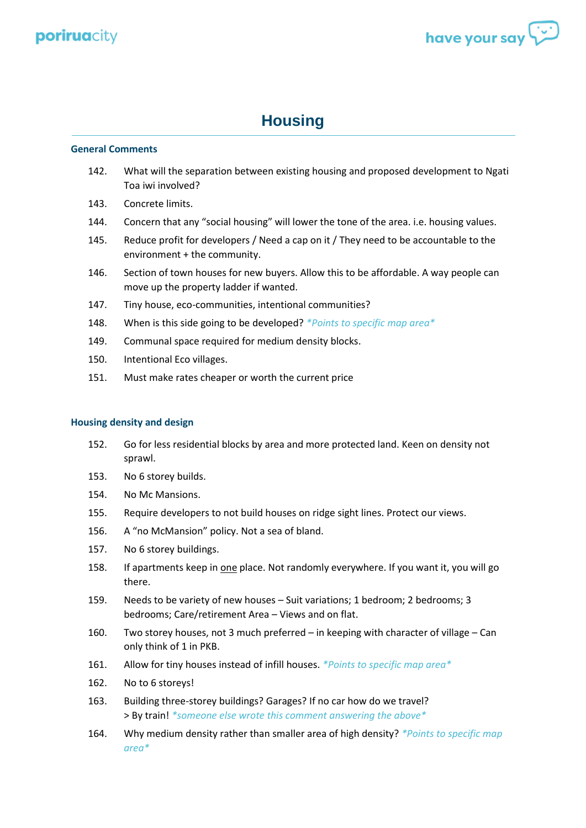

# **Housing**

### **General Comments**

- 142. What will the separation between existing housing and proposed development to Ngati Toa iwi involved?
- 143. Concrete limits.
- 144. Concern that any "social housing" will lower the tone of the area. i.e. housing values.
- 145. Reduce profit for developers / Need a cap on it / They need to be accountable to the environment + the community.
- 146. Section of town houses for new buyers. Allow this to be affordable. A way people can move up the property ladder if wanted.
- 147. Tiny house, eco-communities, intentional communities?
- 148. When is this side going to be developed? *\*Points to specific map area\**
- 149. Communal space required for medium density blocks.
- 150. Intentional Eco villages.
- 151. Must make rates cheaper or worth the current price

### **Housing density and design**

- 152. Go for less residential blocks by area and more protected land. Keen on density not sprawl.
- 153. No 6 storey builds.
- 154. No Mc Mansions.
- 155. Require developers to not build houses on ridge sight lines. Protect our views.
- 156. A "no McMansion" policy. Not a sea of bland.
- 157. No 6 storey buildings.
- 158. If apartments keep in one place. Not randomly everywhere. If you want it, you will go there.
- 159. Needs to be variety of new houses Suit variations; 1 bedroom; 2 bedrooms; 3 bedrooms; Care/retirement Area – Views and on flat.
- 160. Two storey houses, not 3 much preferred in keeping with character of village Can only think of 1 in PKB.
- 161. Allow for tiny houses instead of infill houses. *\*Points to specific map area\**
- 162. No to 6 storeys!
- 163. Building three-storey buildings? Garages? If no car how do we travel? > By train! *\*someone else wrote this comment answering the above\**
- 164. Why medium density rather than smaller area of high density? *\*Points to specific map area\**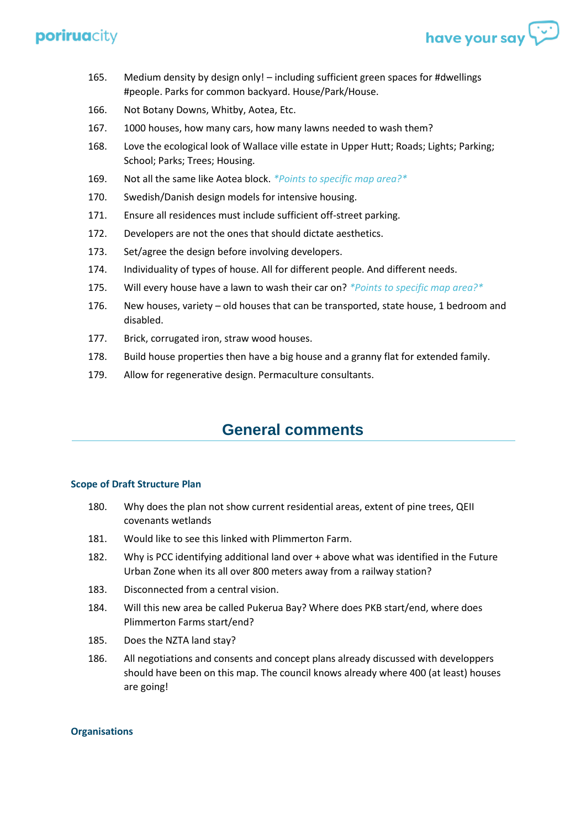165. Medium density by design only! – including sufficient green spaces for #dwellings #people. Parks for common backyard. House/Park/House.

have your say

- 166. Not Botany Downs, Whitby, Aotea, Etc.
- 167. 1000 houses, how many cars, how many lawns needed to wash them?
- 168. Love the ecological look of Wallace ville estate in Upper Hutt; Roads; Lights; Parking; School; Parks; Trees; Housing.
- 169. Not all the same like Aotea block. *\*Points to specific map area?\**
- 170. Swedish/Danish design models for intensive housing.
- 171. Ensure all residences must include sufficient off-street parking.
- 172. Developers are not the ones that should dictate aesthetics.
- 173. Set/agree the design before involving developers.
- 174. Individuality of types of house. All for different people. And different needs.
- 175. Will every house have a lawn to wash their car on? *\*Points to specific map area?\**
- 176. New houses, variety old houses that can be transported, state house, 1 bedroom and disabled.
- 177. Brick, corrugated iron, straw wood houses.
- 178. Build house properties then have a big house and a granny flat for extended family.
- 179. Allow for regenerative design. Permaculture consultants.

## **General comments**

#### **Scope of Draft Structure Plan**

- 180. Why does the plan not show current residential areas, extent of pine trees, QEII covenants wetlands
- 181. Would like to see this linked with Plimmerton Farm.
- 182. Why is PCC identifying additional land over + above what was identified in the Future Urban Zone when its all over 800 meters away from a railway station?
- 183. Disconnected from a central vision.
- 184. Will this new area be called Pukerua Bay? Where does PKB start/end, where does Plimmerton Farms start/end?
- 185. Does the NZTA land stay?
- 186. All negotiations and consents and concept plans already discussed with developpers should have been on this map. The council knows already where 400 (at least) houses are going!

#### **Organisations**